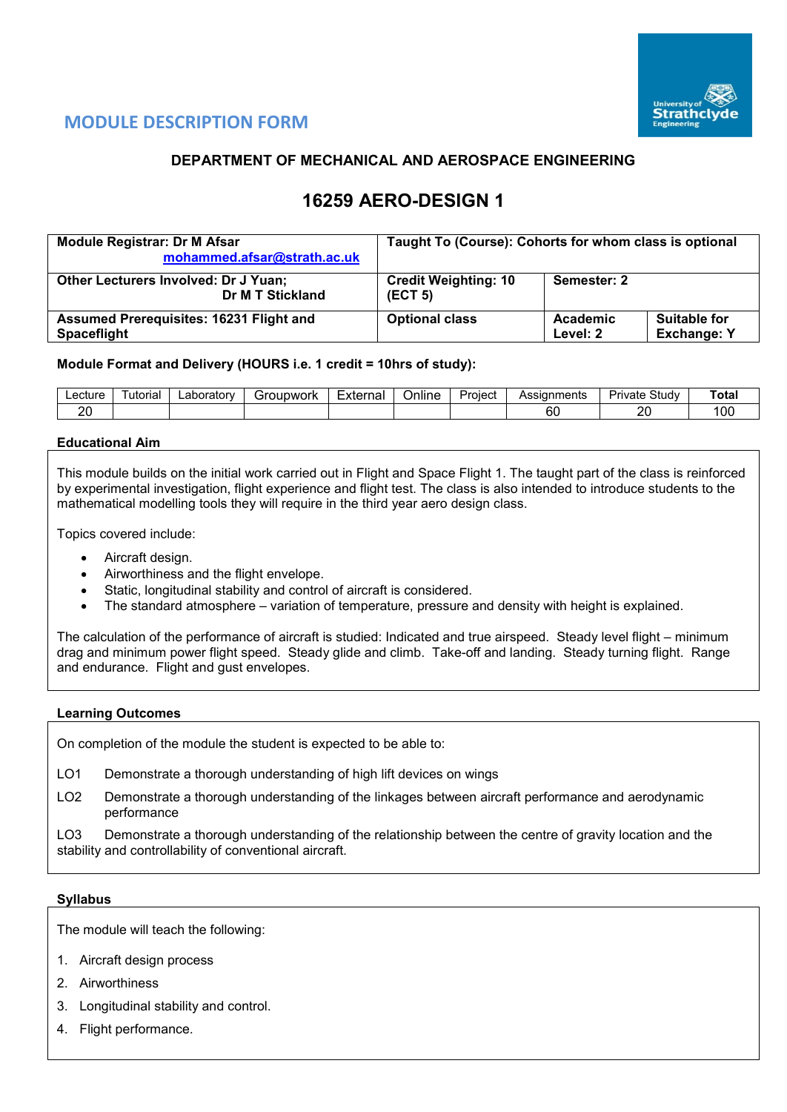

# **MODULE DESCRIPTION FORM**

## **DEPARTMENT OF MECHANICAL AND AEROSPACE ENGINEERING**

# **16259 AERO-DESIGN 1**

| <b>Module Registrar: Dr M Afsar</b><br>mohammed.afsar@strath.ac.uk   | Taught To (Course): Cohorts for whom class is optional |                      |                                           |  |  |  |
|----------------------------------------------------------------------|--------------------------------------------------------|----------------------|-------------------------------------------|--|--|--|
| <b>Other Lecturers Involved: Dr J Yuan;</b><br>Dr M T Stickland      | <b>Credit Weighting: 10</b><br>(ECT 5)                 |                      |                                           |  |  |  |
| <b>Assumed Prerequisites: 16231 Flight and</b><br><b>Spaceflight</b> | <b>Optional class</b>                                  | Academic<br>Level: 2 | <b>Suitable for</b><br><b>Exchange: Y</b> |  |  |  |

#### **Module Format and Delivery (HOURS i.e. 1 credit = 10hrs of study):**

| _ecture_ | utorial | ∟aboratorv | Groupwork | External | Online | Project<br>uicu | Assianments  | $\sim$<br>Studv<br>Private . | ™ota.         |
|----------|---------|------------|-----------|----------|--------|-----------------|--------------|------------------------------|---------------|
| or<br>∼  |         |            |           |          |        |                 | $\sim$<br>юU | n,<br>-                      | <sub>00</sub> |

#### **Educational Aim**

This module builds on the initial work carried out in Flight and Space Flight 1. The taught part of the class is reinforced by experimental investigation, flight experience and flight test. The class is also intended to introduce students to the mathematical modelling tools they will require in the third year aero design class.

Topics covered include:

- Aircraft design.
- Airworthiness and the flight envelope.
- Static, longitudinal stability and control of aircraft is considered.
- The standard atmosphere variation of temperature, pressure and density with height is explained.

The calculation of the performance of aircraft is studied: Indicated and true airspeed. Steady level flight – minimum drag and minimum power flight speed. Steady glide and climb. Take-off and landing. Steady turning flight. Range and endurance. Flight and gust envelopes.

#### **Learning Outcomes**

On completion of the module the student is expected to be able to:

- LO1 Demonstrate a thorough understanding of high lift devices on wings
- LO2 Demonstrate a thorough understanding of the linkages between aircraft performance and aerodynamic performance

LO3 Demonstrate a thorough understanding of the relationship between the centre of gravity location and the stability and controllability of conventional aircraft.

#### **Syllabus**

The module will teach the following:

- 1. Aircraft design process
- 2. Airworthiness
- 3. Longitudinal stability and control.
- 4. Flight performance.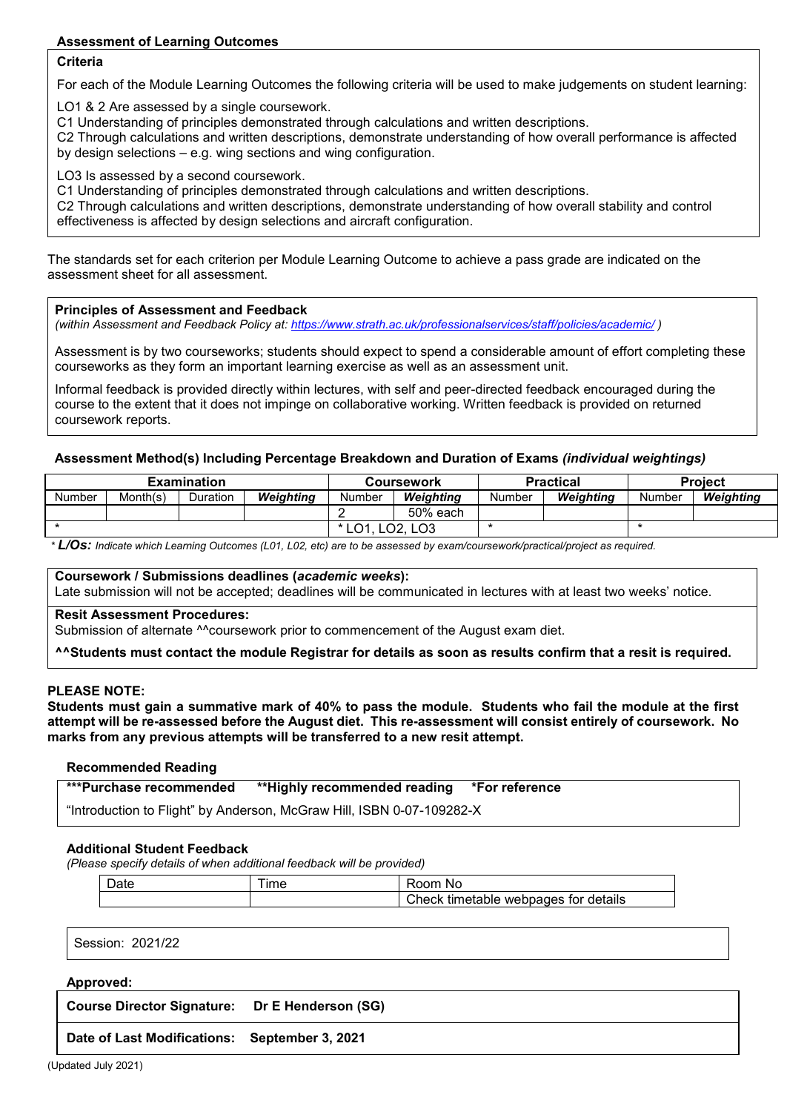## **Assessment of Learning Outcomes**

#### **Criteria**

For each of the Module Learning Outcomes the following criteria will be used to make judgements on student learning:

LO1 & 2 Are assessed by a single coursework.

C1 Understanding of principles demonstrated through calculations and written descriptions.

C2 Through calculations and written descriptions, demonstrate understanding of how overall performance is affected by design selections – e.g. wing sections and wing configuration.

LO3 Is assessed by a second coursework.

C1 Understanding of principles demonstrated through calculations and written descriptions.

C2 Through calculations and written descriptions, demonstrate understanding of how overall stability and control effectiveness is affected by design selections and aircraft configuration.

The standards set for each criterion per Module Learning Outcome to achieve a pass grade are indicated on the assessment sheet for all assessment.

#### **Principles of Assessment and Feedback**

*(within Assessment and Feedback Policy at: <https://www.strath.ac.uk/professionalservices/staff/policies/academic/> )*

Assessment is by two courseworks; students should expect to spend a considerable amount of effort completing these courseworks as they form an important learning exercise as well as an assessment unit.

Informal feedback is provided directly within lectures, with self and peer-directed feedback encouraged during the course to the extent that it does not impinge on collaborative working. Written feedback is provided on returned coursework reports.

#### **Assessment Method(s) Including Percentage Breakdown and Duration of Exams** *(individual weightings)*

| Examination |          |          |                  |        | <b>Coursework</b> |        | <b>Practical</b> | <b>Project</b> |           |  |
|-------------|----------|----------|------------------|--------|-------------------|--------|------------------|----------------|-----------|--|
| Number      | Month(s) | Duration | <b>Weighting</b> | Number | Weiahtina         | Number | Weiahtina        | Number         | Weighting |  |
|             |          |          |                  |        | 50% each          |        |                  |                |           |  |
|             |          |          |                  | LO1.   | LO2. LO3          |        |                  |                |           |  |

*\* L/Os: Indicate which Learning Outcomes (L01, L02, etc) are to be assessed by exam/coursework/practical/project as required.*

### **Coursework / Submissions deadlines (***academic weeks***):**

Late submission will not be accepted; deadlines will be communicated in lectures with at least two weeks' notice.

#### **Resit Assessment Procedures:**

Submission of alternate ^^coursework prior to commencement of the August exam diet.

**^^Students must contact the module Registrar for details as soon as results confirm that a resit is required.**

#### **PLEASE NOTE:**

**Students must gain a summative mark of 40% to pass the module. Students who fail the module at the first attempt will be re-assessed before the August diet. This re-assessment will consist entirely of coursework. No marks from any previous attempts will be transferred to a new resit attempt.**

#### **Recommended Reading**

| ***Purchase recommended                                                                                                                                                                                                         | **Highly recommended reading *For reference |  |
|---------------------------------------------------------------------------------------------------------------------------------------------------------------------------------------------------------------------------------|---------------------------------------------|--|
| $\sim$ . The contract of the contract of the contract of the contract of the contract of the contract of the contract of the contract of the contract of the contract of the contract of the contract of the contract of the co |                                             |  |

"Introduction to Flight" by Anderson, McGraw Hill, ISBN 0-07-109282-X

#### **Additional Student Feedback**

*(Please specify details of when additional feedback will be provided)*

| ⊃ate | ime | ≺oom<br>No                           |
|------|-----|--------------------------------------|
|      |     | Check timetable webpages for details |

Session: 2021/22

#### **Approved:**

**Course Director Signature: Dr E Henderson (SG)**

**Date of Last Modifications: September 3, 2021**